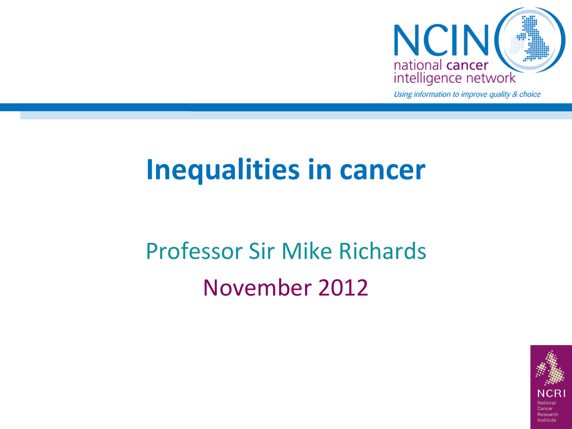

Using information to improve quality & choice

### **Inequalities in cancer**

### Professor Sir Mike Richards November 2012

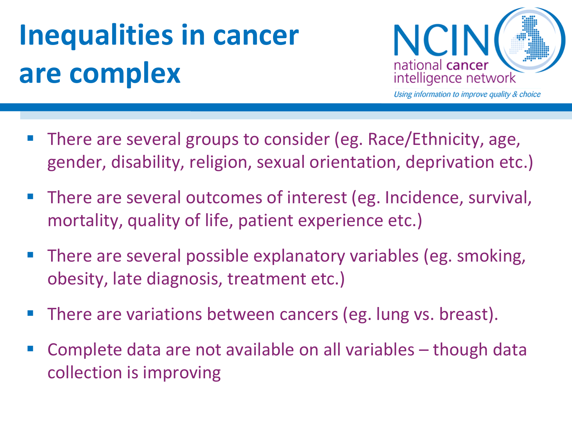# **Inequalities in cancer are complex**



- There are several groups to consider (eg. Race/Ethnicity, age, gender, disability, religion, sexual orientation, deprivation etc.)
- There are several outcomes of interest (eg. Incidence, survival, mortality, quality of life, patient experience etc.)
- **There are several possible explanatory variables (eg. smoking,** obesity, late diagnosis, treatment etc.)
- There are variations between cancers (eg. lung vs. breast).
- Complete data are not available on all variables though data collection is improving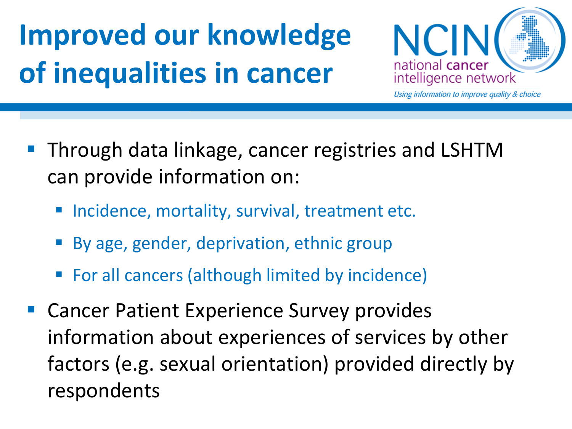## **Improved our knowledge of inequalities in cancer**



- Through data linkage, cancer registries and LSHTM can provide information on:
	- Incidence, mortality, survival, treatment etc.
	- By age, gender, deprivation, ethnic group
	- For all cancers (although limited by incidence)
- Cancer Patient Experience Survey provides information about experiences of services by other factors (e.g. sexual orientation) provided directly by respondents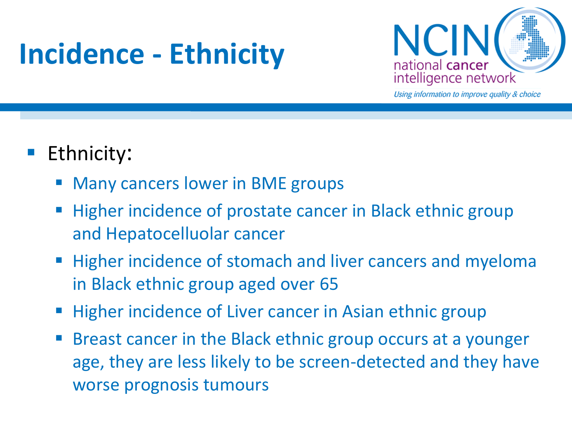## **Incidence - Ethnicity**



Using information to improve quality & choice

### Ethnicity:

- Many cancers lower in BME groups
- Higher incidence of prostate cancer in Black ethnic group and Hepatocelluolar cancer
- **Higher incidence of stomach and liver cancers and myeloma** in Black ethnic group aged over 65
- Higher incidence of Liver cancer in Asian ethnic group
- Breast cancer in the Black ethnic group occurs at a younger age, they are less likely to be screen-detected and they have worse prognosis tumours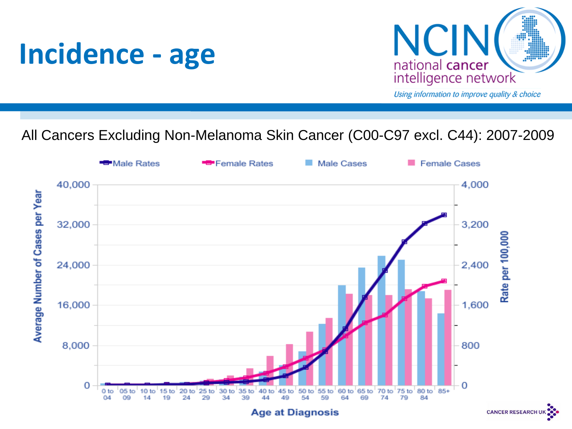



### All Cancers Excluding Non-Melanoma Skin Cancer (C00-C97 excl. C44): 2007-2009



**CANCER RESEARCH**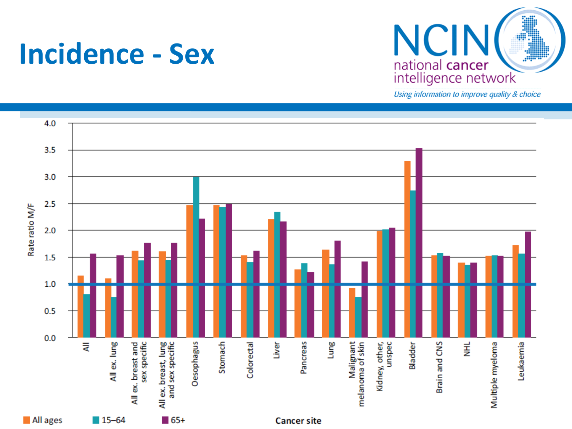



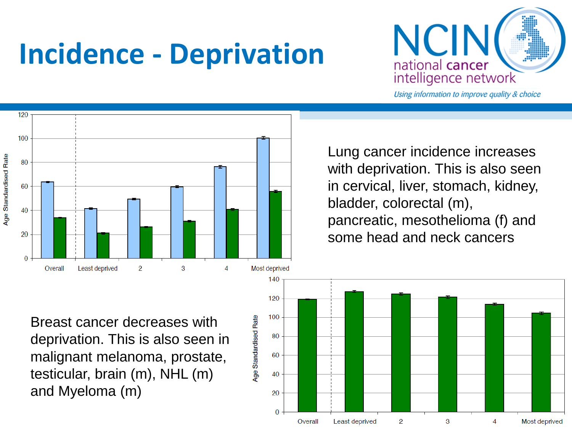## **Incidence - Deprivation**



Using information to improve quality & choice



Lung cancer incidence increases with deprivation. This is also seen in cervical, liver, stomach, kidney, bladder, colorectal (m), pancreatic, mesothelioma (f) and some head and neck cancers

Breast cancer decreases with deprivation. This is also seen in malignant melanoma, prostate, testicular, brain (m), NHL (m) and Myeloma (m)

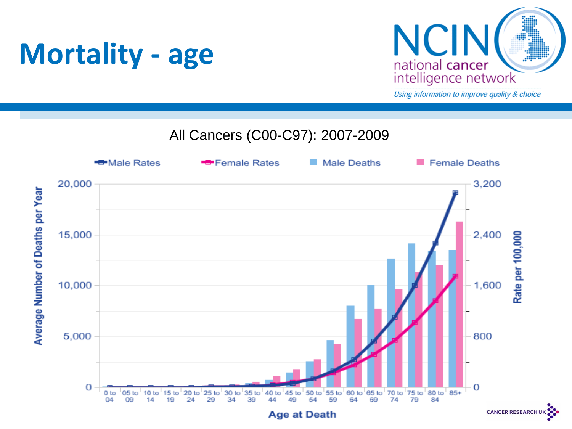### **Mortality - age**



Using information to improve quality & choice

#### All Cancers (C00-C97): 2007-2009

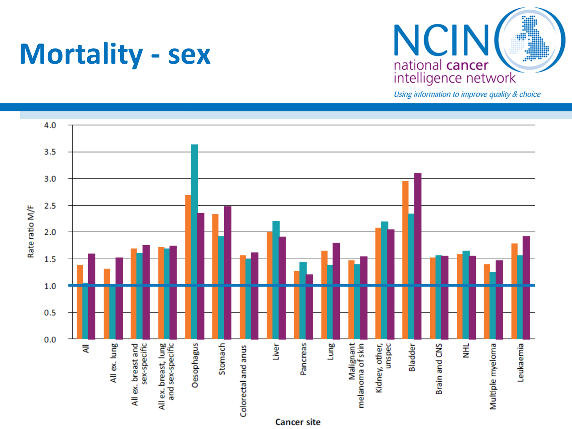### **Mortality - sex**



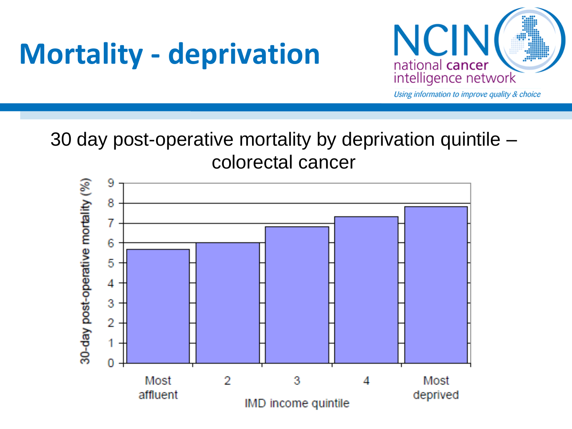## **Mortality - deprivation**



Using information to improve quality & choice

#### 30 day post-operative mortality by deprivation quintile – colorectal cancer

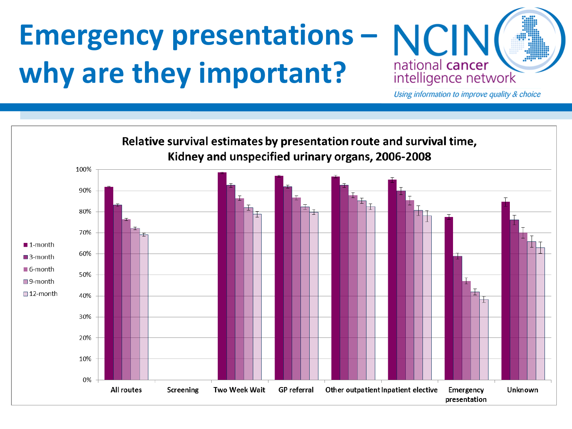## **Emergency presentations – NCIN why are they important?**



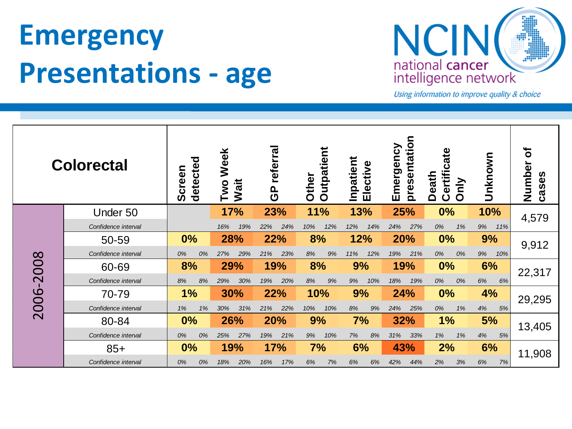## **Emergency Presentations - age**



| <b>Colorectal</b> |                     | detected<br>Screen | Week<br>Wait<br><b>Two</b> | referra<br>$\mathbf{e}$ | Outpatient<br>Other | Inpatient<br>Elective | presentation<br>Emergency | Certificate<br>Death<br>Only | Unknown   | ৳<br>Number<br>cases |  |
|-------------------|---------------------|--------------------|----------------------------|-------------------------|---------------------|-----------------------|---------------------------|------------------------------|-----------|----------------------|--|
|                   | Under 50            |                    | <b>17%</b>                 | 23%                     | <b>11%</b>          | 13%                   | 25%                       | 0%                           | 10%       | 4,579                |  |
|                   | Confidence interval |                    | 19%<br>16%                 | 24%<br>22%              | 12%<br>10%          | 12%<br>14%            | 24%<br>27%                | 0%<br>1%                     | 9%<br>11% |                      |  |
|                   | 50-59               | 0%                 | 28%                        | 22%                     | 8%<br>12%           |                       | 20%                       | 0%                           | 9%        | 9,912                |  |
|                   | Confidence interval | 0%<br>0%           | 29%<br>27%                 | 23%<br>21%              | 8%<br>9%            | 11%<br>12%            | 19%<br>21%                | 0%<br>0%                     | 9%<br>10% |                      |  |
|                   | 60-69               | 8%                 | 29%                        | 19%                     | 8%                  | 9%                    | 19%                       | 0%                           | 6%        | 22,317               |  |
|                   | Confidence interval | 8%<br>8%           | 29%<br>30%                 | 19%<br>20%              | 8%<br>9%            | 9%<br>10%             | 18%<br>19%                | 0%<br>0%                     | 6%<br>6%  |                      |  |
| 2006-2008         | 70-79               | 1%                 | 30%                        | 22%                     | 10%                 | 9%                    | 24%                       | 0%                           | 4%        | 29,295               |  |
|                   | Confidence interval | 1%<br>1%           | 30%<br>31%                 | 21%<br>22%              | 10%<br>10%          | 9%<br>8%              | 24%<br>25%                | 0%<br>1%                     | 4%<br>5%  |                      |  |
|                   | 80-84               | 0%                 | 26%                        | 20%                     | 9%                  | 7%                    | 32%                       | 1%                           | 5%        | 13,405               |  |
|                   | Confidence interval | 0%<br>0%           | 25%<br>27%                 | 21%<br>19%              | 9%<br>10%           | 7%<br>8%              | 31%<br>33%                | 1%<br>1%                     | 4%<br>5%  |                      |  |
|                   | $85+$               | 0%                 | 19%                        | 17%                     | 7%                  | 6%                    |                           | 2%                           | 6%        | 11,908               |  |
|                   | Confidence interval | 0%<br>0%           | 20%<br>18%                 | 16%<br>17%              | 7%<br>6%            | 6%<br>6%              | 42%<br>44%                | 2%<br>3%                     | 6%<br>7%  |                      |  |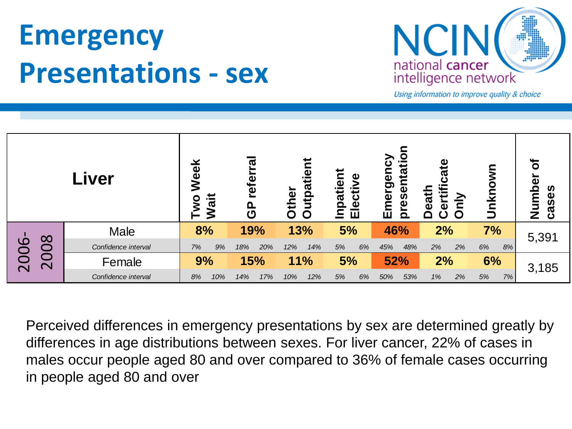### **Emergency Presentations - sex**



Using information to improve quality & choice

| Liver                   |                                                                                                                                                                                                                                                                                       | referra<br>Week<br>Wait<br><b>Lwo</b><br><u>၉</u> |            | utpatient<br>Other | Inpatient<br>Elective | presentation<br>Emergency | ertificat<br>eath | Unknown  | ð<br>Number<br>cases |
|-------------------------|---------------------------------------------------------------------------------------------------------------------------------------------------------------------------------------------------------------------------------------------------------------------------------------|---------------------------------------------------|------------|--------------------|-----------------------|---------------------------|-------------------|----------|----------------------|
| 008<br>2006-            | <b>Male</b>                                                                                                                                                                                                                                                                           | 8%                                                | 19%        | 13%                | 5%                    | 46%                       | 2%                | 7%       | 5,391                |
|                         | Confidence interval                                                                                                                                                                                                                                                                   | 7%<br>9%                                          | 18%<br>20% | 12%<br>14%         | 5%<br>6%              | 48%<br>45%                | 2%<br>2%          | 6%<br>8% |                      |
| $\overline{\mathsf{C}}$ | Female                                                                                                                                                                                                                                                                                | 9%                                                | 15%        | 11%                | 5%                    | 52%                       | 2%                | 6%       | 3,185                |
|                         | Confidence interval                                                                                                                                                                                                                                                                   | 10%<br>8%                                         | 14%<br>17% | 12%<br>10%         | 5%<br>6%              | 53%<br>50%                | 1%<br>2%          | 5%<br>7% |                      |
|                         | Perceived differences in emergency presentations by sex are determined greatly by<br>differences in age distributions between sexes. For liver cancer, 22% of cases in<br>males occur people aged 80 and over compared to 36% of female cases occurring<br>in people aged 80 and over |                                                   |            |                    |                       |                           |                   |          |                      |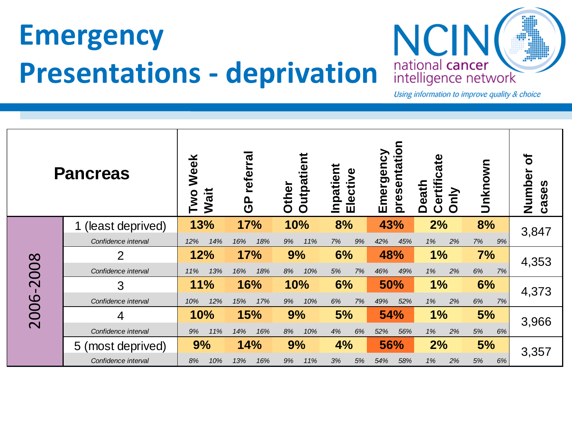## **Emergency Presentations - deprivation**



| <b>Pancreas</b> |                     | Week<br>Wait<br><b>DWO</b> | referra<br>$\frac{a}{c}$ | <b>Outpatient</b><br>Other | Inpatient<br>Elective | presentation<br>Emergency | ate<br><u>ific</u><br><b>Death</b><br>$\overline{\mathbf{0}}$<br>Ŏ<br>O | Unknown  | ð<br>Number<br>cases |
|-----------------|---------------------|----------------------------|--------------------------|----------------------------|-----------------------|---------------------------|-------------------------------------------------------------------------|----------|----------------------|
|                 | (least deprived)    | 13%                        | 17%                      | 10%                        | 8%                    | 43%                       | 2%                                                                      | 8%       | 3,847                |
|                 | Confidence interval | 14%<br>12%                 | 18%<br>16%               | 11%<br>9%                  | 7%<br>9%              | 42%<br>45%                | 1%<br>2%                                                                | 7%<br>9% |                      |
|                 | $\overline{2}$      | 12%                        | <b>17%</b>               | 9%                         | 6%                    | 48%                       | 1%                                                                      | 7%       | 4,353                |
|                 | Confidence interval | 13%<br>11%                 | 18%<br>16%               | 8%<br>10%                  | 7%<br>5%              | 46%<br>49%                | 1%<br>2%                                                                | 6%<br>7% |                      |
|                 | 3                   | 11%                        | 16%                      | 10%                        | 6%                    | 50%                       | 1%                                                                      | 6%       | 4,373                |
|                 | Confidence interval | 12%<br>10%                 | 15%<br>17%               | 9%<br>10%                  | 6%<br>7%              | 49%<br>52%                | 1%<br>2%                                                                | 6%<br>7% |                      |
| 2006-2008       | 4                   | 10%                        | 15%                      | 9%                         | 5%                    | 54%                       | 1%                                                                      | 5%       | 3,966                |
|                 | Confidence interval | 9%<br>11%                  | 14%<br>16%               | 8%<br>10%                  | 4%<br>6%              | 52%<br>56%                | 1%<br>2%                                                                | 5%<br>6% |                      |
|                 | 5 (most deprived)   | 9%                         | 14%                      | 9%                         | 4%                    | 56%                       | 2%                                                                      | 5%       | 3,357                |
|                 | Confidence interval | 8%<br>10%                  | 13%<br>16%               | 9%<br>11%                  | 3%<br>5%              | 54%<br>58%                | 2%<br>1%                                                                | 5%<br>6% |                      |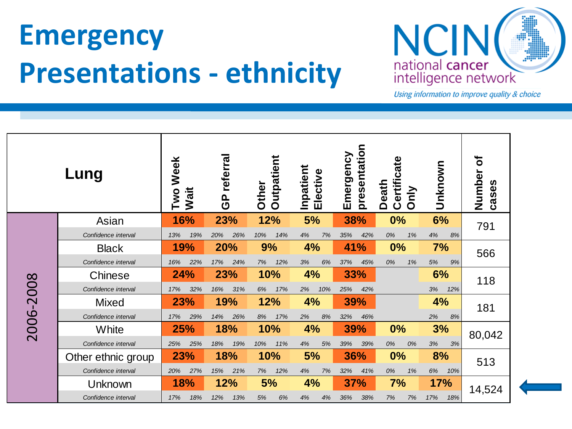### **Emergency Presentations - ethnicity**



| Lung      |                     | Week<br>Two<br>Wait |     | referra<br><u>၉</u> |     | <b>Outpatient</b><br>Other |     | Inpatient<br>Elective |     | presentation<br>Emergency |     | Certificate<br><b>Death</b><br>Only |    | Unknown |     | ð<br>Number<br>cases |
|-----------|---------------------|---------------------|-----|---------------------|-----|----------------------------|-----|-----------------------|-----|---------------------------|-----|-------------------------------------|----|---------|-----|----------------------|
|           | Asian               | 16%                 |     | 23%                 |     | 12%                        |     | 5%                    |     | 38%                       |     | 0%                                  |    | 6%      |     | 791                  |
|           | Confidence interval | 13%                 | 19% | 20%                 | 26% | 10%                        | 14% | 4%                    | 7%  | 35%                       | 42% | 0%                                  | 1% | 4%      | 8%  |                      |
|           | <b>Black</b>        | 19%                 |     | 20%                 |     | 9%                         |     | 4%                    |     | 41%                       |     | 0%                                  |    | 7%      |     | 566                  |
|           | Confidence interval | 16%                 | 22% | 17%                 | 24% | 7%                         | 12% | 3%                    | 6%  | 37%                       | 45% | 0%                                  | 1% | 5%      | 9%  |                      |
|           | Chinese             | 24%                 |     | 23%                 |     | 10%                        |     | 4%                    |     | 33%                       |     |                                     |    | 6%      |     | 118                  |
|           | Confidence interval | 17%                 | 32% | 16%                 | 31% | 6%                         | 17% | 2%                    | 10% | 25%                       | 42% |                                     |    | 3%      | 12% |                      |
|           | <b>Mixed</b>        | 23%                 |     | 19%                 |     | 12%                        |     | 4%                    |     | 39%                       |     |                                     | 4% |         | 181 |                      |
|           | Confidence interval | 17%                 | 29% | 14%                 | 26% | 8%                         | 17% | 2%                    | 8%  | 32%                       | 46% |                                     |    | 2%      | 8%  |                      |
| 2006-2008 | White               | 25%                 |     | 18%                 |     | 10%                        |     | 4%                    |     | 39%                       |     | 0%                                  |    | 3%      |     | 80,042               |
|           | Confidence interval | 25%                 | 25% | 18%                 | 19% | 10%                        | 11% | 4%                    | 5%  | 39%                       | 39% | 0%                                  | 0% | $3%$    | 3%  |                      |
|           | Other ethnic group  | 23%                 |     |                     | 18% |                            | 10% |                       | 5%  | 36%                       |     | 0%                                  |    | 8%      |     | 513                  |
|           | Confidence interval | 20%                 | 27% | 15%                 | 21% | 7%                         | 12% | 4%                    | 7%  | 32%                       | 41% | 0%                                  | 1% | 6%      | 10% |                      |
|           | Unknown             | 18%                 |     | 12%                 |     | 5%                         |     | 4%                    |     | <b>37%</b>                |     | 7%                                  |    | 17%     |     | 14,524               |
|           | Confidence interval | 17%                 | 18% | 12%                 | 13% | 5%                         | 6%  | 4%                    | 4%  | 36%                       | 38% | 7%                                  | 7% | 17%     | 18% |                      |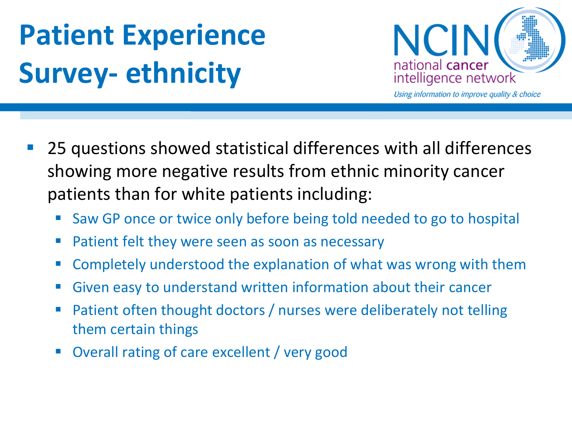# **Patient Experience Survey- ethnicity**



- 25 questions showed statistical differences with all differences showing more negative results from ethnic minority cancer patients than for white patients including:
	- Saw GP once or twice only before being told needed to go to hospital
	- Patient felt they were seen as soon as necessary
	- Completely understood the explanation of what was wrong with them
	- Given easy to understand written information about their cancer
	- Patient often thought doctors / nurses were deliberately not telling them certain things
	- Overall rating of care excellent / very good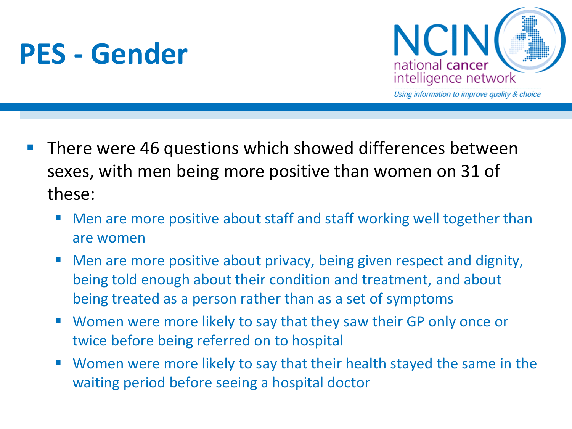### **PES - Gender**



- **There were 46 questions which showed differences between** sexes, with men being more positive than women on 31 of these:
	- Men are more positive about staff and staff working well together than are women
	- Men are more positive about privacy, being given respect and dignity, being told enough about their condition and treatment, and about being treated as a person rather than as a set of symptoms
	- Women were more likely to say that they saw their GP only once or twice before being referred on to hospital
	- Women were more likely to say that their health stayed the same in the waiting period before seeing a hospital doctor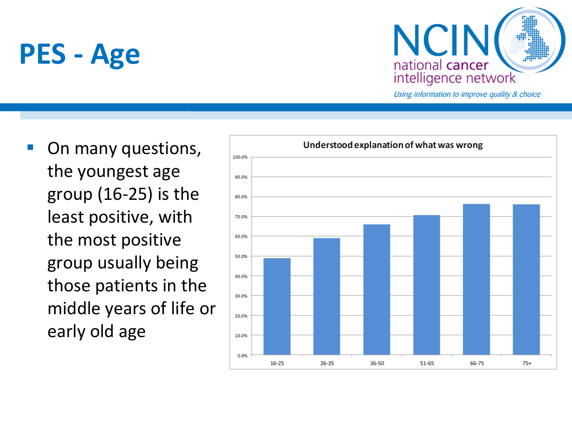### **PES - Age**



Using information to improve quality & choice

**Deta** On many questions, the youngest age group (16-25) is the least positive, with the most positive group usually being those patients in the middle years of life or early old age

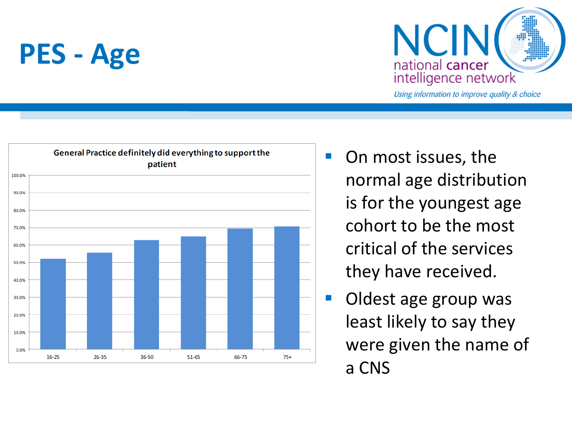### **PES - Age**





- On most issues, the normal age distribution is for the youngest age cohort to be the most critical of the services they have received.
- **Oldest age group was** least likely to say they were given the name of a CNS